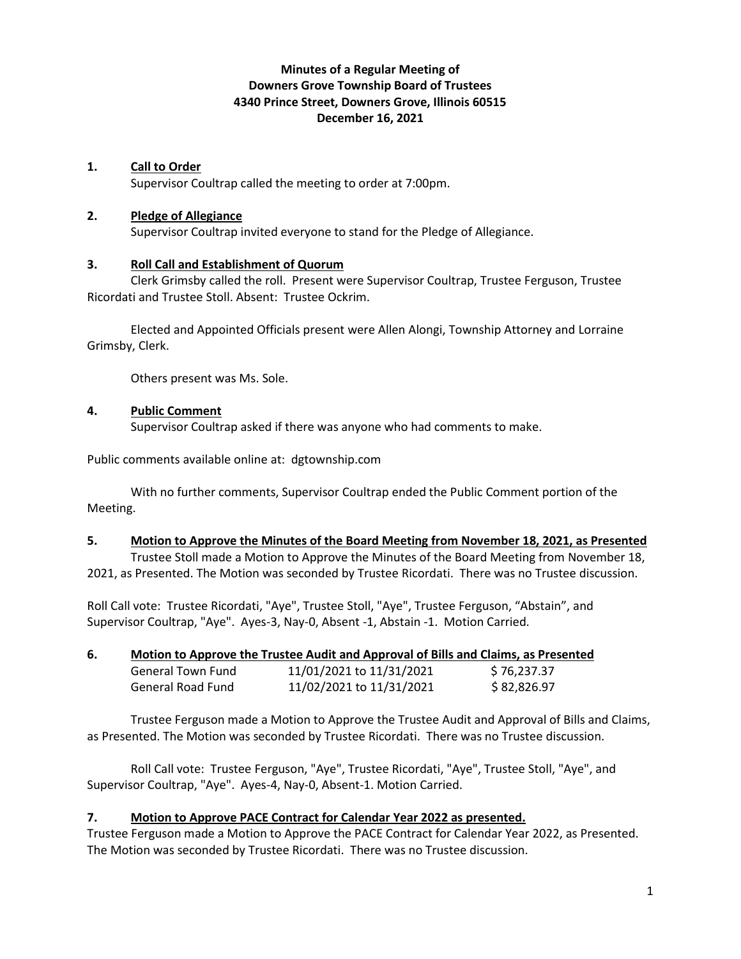# **Minutes of a Regular Meeting of Downers Grove Township Board of Trustees 4340 Prince Street, Downers Grove, Illinois 60515 December 16, 2021**

### **1. Call to Order**

Supervisor Coultrap called the meeting to order at 7:00pm.

### **2. Pledge of Allegiance**

Supervisor Coultrap invited everyone to stand for the Pledge of Allegiance.

### **3. Roll Call and Establishment of Quorum**

Clerk Grimsby called the roll. Present were Supervisor Coultrap, Trustee Ferguson, Trustee Ricordati and Trustee Stoll. Absent: Trustee Ockrim.

Elected and Appointed Officials present were Allen Alongi, Township Attorney and Lorraine Grimsby, Clerk.

Others present was Ms. Sole.

### **4. Public Comment**

Supervisor Coultrap asked if there was anyone who had comments to make.

Public comments available online at: dgtownship.com

With no further comments, Supervisor Coultrap ended the Public Comment portion of the Meeting.

#### **5. Motion to Approve the Minutes of the Board Meeting from November 18, 2021, as Presented**

Trustee Stoll made a Motion to Approve the Minutes of the Board Meeting from November 18, 2021, as Presented. The Motion was seconded by Trustee Ricordati. There was no Trustee discussion.

Roll Call vote: Trustee Ricordati, "Aye", Trustee Stoll, "Aye", Trustee Ferguson, "Abstain", and Supervisor Coultrap, "Aye". Ayes-3, Nay-0, Absent -1, Abstain -1. Motion Carried.

| 6. | Motion to Approve the Trustee Audit and Approval of Bills and Claims, as Presented |  |
|----|------------------------------------------------------------------------------------|--|
|    |                                                                                    |  |

| <b>General Town Fund</b> | 11/01/2021 to 11/31/2021 | \$76,237.37 |
|--------------------------|--------------------------|-------------|
| General Road Fund        | 11/02/2021 to 11/31/2021 | \$82,826.97 |

Trustee Ferguson made a Motion to Approve the Trustee Audit and Approval of Bills and Claims, as Presented. The Motion was seconded by Trustee Ricordati. There was no Trustee discussion.

Roll Call vote: Trustee Ferguson, "Aye", Trustee Ricordati, "Aye", Trustee Stoll, "Aye", and Supervisor Coultrap, "Aye". Ayes-4, Nay-0, Absent-1. Motion Carried.

# **7. Motion to Approve PACE Contract for Calendar Year 2022 as presented.**

Trustee Ferguson made a Motion to Approve the PACE Contract for Calendar Year 2022, as Presented. The Motion was seconded by Trustee Ricordati. There was no Trustee discussion.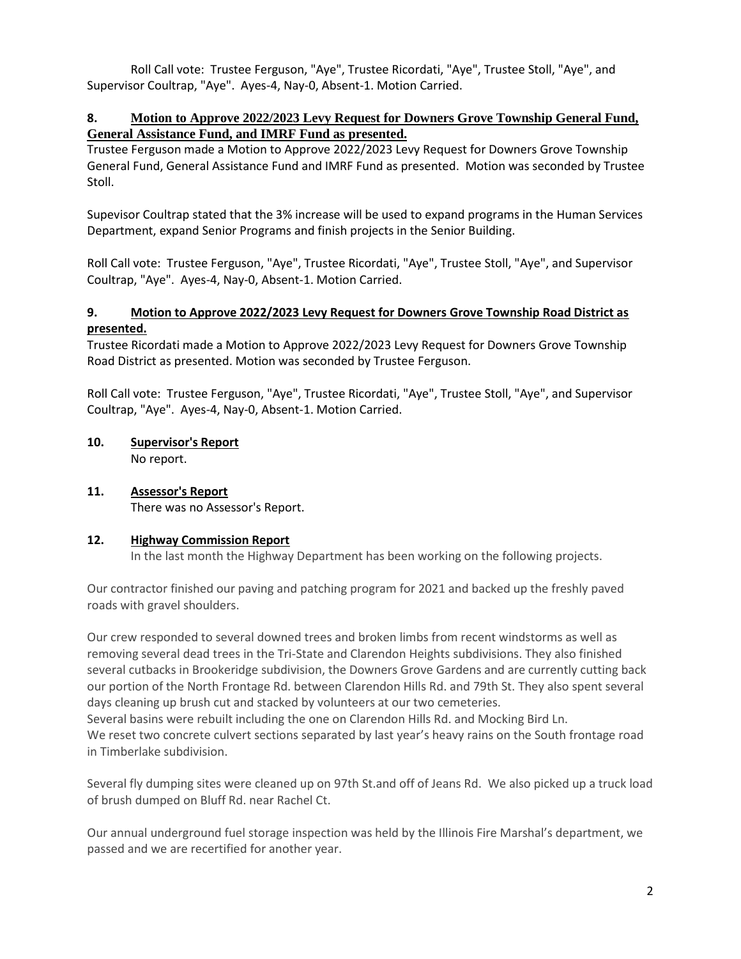Roll Call vote: Trustee Ferguson, "Aye", Trustee Ricordati, "Aye", Trustee Stoll, "Aye", and Supervisor Coultrap, "Aye". Ayes-4, Nay-0, Absent-1. Motion Carried.

# **8. Motion to Approve 2022/2023 Levy Request for Downers Grove Township General Fund, General Assistance Fund, and IMRF Fund as presented.**

Trustee Ferguson made a Motion to Approve 2022/2023 Levy Request for Downers Grove Township General Fund, General Assistance Fund and IMRF Fund as presented. Motion was seconded by Trustee Stoll.

Supevisor Coultrap stated that the 3% increase will be used to expand programs in the Human Services Department, expand Senior Programs and finish projects in the Senior Building.

Roll Call vote: Trustee Ferguson, "Aye", Trustee Ricordati, "Aye", Trustee Stoll, "Aye", and Supervisor Coultrap, "Aye". Ayes-4, Nay-0, Absent-1. Motion Carried.

# **9. Motion to Approve 2022/2023 Levy Request for Downers Grove Township Road District as presented.**

Trustee Ricordati made a Motion to Approve 2022/2023 Levy Request for Downers Grove Township Road District as presented. Motion was seconded by Trustee Ferguson.

Roll Call vote: Trustee Ferguson, "Aye", Trustee Ricordati, "Aye", Trustee Stoll, "Aye", and Supervisor Coultrap, "Aye". Ayes-4, Nay-0, Absent-1. Motion Carried.

- **10. Supervisor's Report** No report.
- **11. Assessor's Report** There was no Assessor's Report.

# **12. Highway Commission Report**

In the last month the Highway Department has been working on the following projects.

Our contractor finished our paving and patching program for 2021 and backed up the freshly paved roads with gravel shoulders.

Our crew responded to several downed trees and broken limbs from recent windstorms as well as removing several dead trees in the Tri-State and Clarendon Heights subdivisions. They also finished several cutbacks in Brookeridge subdivision, the Downers Grove Gardens and are currently cutting back our portion of the North Frontage Rd. between Clarendon Hills Rd. and 79th St. They also spent several days cleaning up brush cut and stacked by volunteers at our two cemeteries. Several basins were rebuilt including the one on Clarendon Hills Rd. and Mocking Bird Ln.

We reset two concrete culvert sections separated by last year's heavy rains on the South frontage road in Timberlake subdivision.

Several fly dumping sites were cleaned up on 97th St.and off of Jeans Rd. We also picked up a truck load of brush dumped on Bluff Rd. near Rachel Ct.

Our annual underground fuel storage inspection was held by the Illinois Fire Marshal's department, we passed and we are recertified for another year.